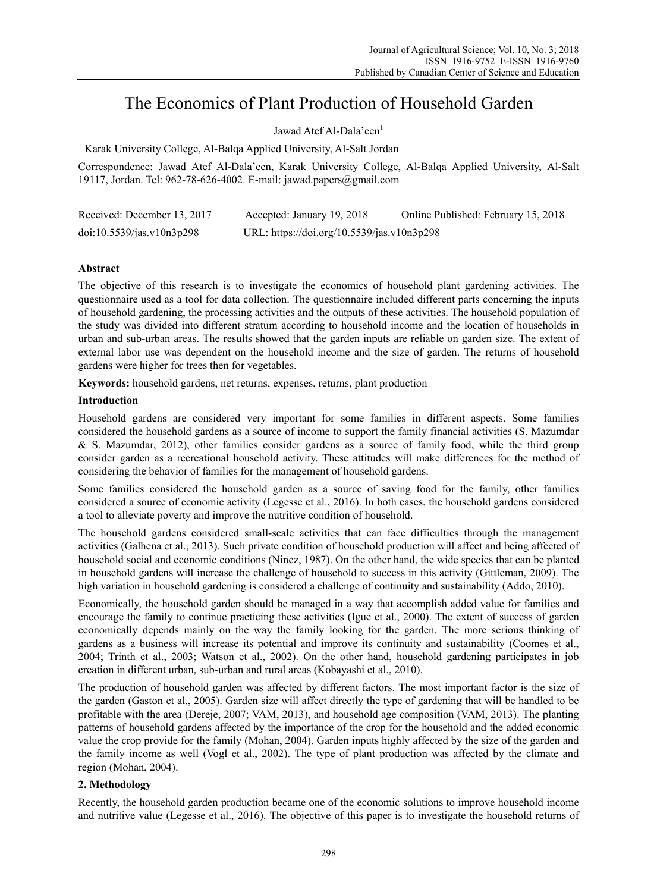# The Economics of Plant Production of Household Garden

Jawad Atef Al-Dala'een<sup>1</sup>

<sup>1</sup> Karak University College, Al-Balqa Applied University, Al-Salt Jordan

Correspondence: Jawad Atef Al-Dala'een, Karak University College, Al-Balqa Applied University, Al-Salt 19117, Jordan. Tel: 962-78-626-4002. E-mail: jawad.papers@gmail.com

| Received: December 13, 2017 | Accepted: January 19, 2018                 | Online Published: February 15, 2018 |
|-----------------------------|--------------------------------------------|-------------------------------------|
| doi:10.5539/jas.v10n3p298   | URL: https://doi.org/10.5539/jas.v10n3p298 |                                     |

## **Abstract**

The objective of this research is to investigate the economics of household plant gardening activities. The questionnaire used as a tool for data collection. The questionnaire included different parts concerning the inputs of household gardening, the processing activities and the outputs of these activities. The household population of the study was divided into different stratum according to household income and the location of households in urban and sub-urban areas. The results showed that the garden inputs are reliable on garden size. The extent of external labor use was dependent on the household income and the size of garden. The returns of household gardens were higher for trees then for vegetables.

**Keywords:** household gardens, net returns, expenses, returns, plant production

### **Introduction**

Household gardens are considered very important for some families in different aspects. Some families considered the household gardens as a source of income to support the family financial activities (S. Mazumdar & S. Mazumdar, 2012), other families consider gardens as a source of family food, while the third group consider garden as a recreational household activity. These attitudes will make differences for the method of considering the behavior of families for the management of household gardens.

Some families considered the household garden as a source of saving food for the family, other families considered a source of economic activity (Legesse et al., 2016). In both cases, the household gardens considered a tool to alleviate poverty and improve the nutritive condition of household.

The household gardens considered small-scale activities that can face difficulties through the management activities (Galhena et al., 2013). Such private condition of household production will affect and being affected of household social and economic conditions (Ninez, 1987). On the other hand, the wide species that can be planted in household gardens will increase the challenge of household to success in this activity (Gittleman, 2009). The high variation in household gardening is considered a challenge of continuity and sustainability (Addo, 2010).

Economically, the household garden should be managed in a way that accomplish added value for families and encourage the family to continue practicing these activities (Igue et al., 2000). The extent of success of garden economically depends mainly on the way the family looking for the garden. The more serious thinking of gardens as a business will increase its potential and improve its continuity and sustainability (Coomes et al., 2004; Trinth et al., 2003; Watson et al., 2002). On the other hand, household gardening participates in job creation in different urban, sub-urban and rural areas (Kobayashi et al., 2010).

The production of household garden was affected by different factors. The most important factor is the size of the garden (Gaston et al., 2005). Garden size will affect directly the type of gardening that will be handled to be profitable with the area (Dereje, 2007; VAM, 2013), and household age composition (VAM, 2013). The planting patterns of household gardens affected by the importance of the crop for the household and the added economic value the crop provide for the family (Mohan, 2004). Garden inputs highly affected by the size of the garden and the family income as well (Vogl et al., 2002). The type of plant production was affected by the climate and region (Mohan, 2004).

## **2. Methodology**

Recently, the household garden production became one of the economic solutions to improve household income and nutritive value (Legesse et al., 2016). The objective of this paper is to investigate the household returns of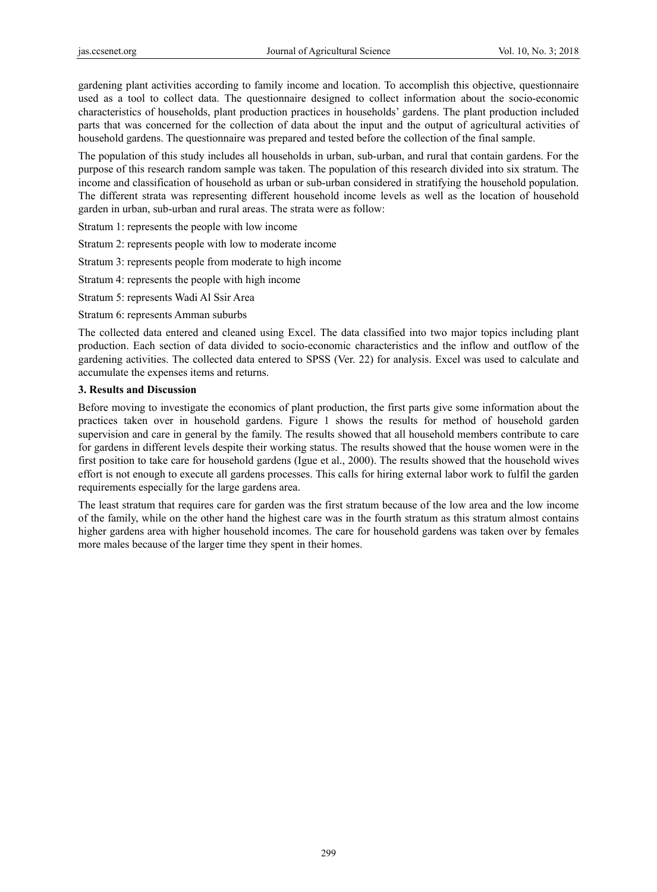gardening plant activities according to family income and location. To accomplish this objective, questionnaire used as a tool to collect data. The questionnaire designed to collect information about the socio-economic characteristics of households, plant production practices in households' gardens. The plant production included parts that was concerned for the collection of data about the input and the output of agricultural activities of household gardens. The questionnaire was prepared and tested before the collection of the final sample.

The population of this study includes all households in urban, sub-urban, and rural that contain gardens. For the purpose of this research random sample was taken. The population of this research divided into six stratum. The income and classification of household as urban or sub-urban considered in stratifying the household population. The different strata was representing different household income levels as well as the location of household garden in urban, sub-urban and rural areas. The strata were as follow:

Stratum 1: represents the people with low income

Stratum 2: represents people with low to moderate income

Stratum 3: represents people from moderate to high income

Stratum 4: represents the people with high income

Stratum 5: represents Wadi Al Ssir Area

Stratum 6: represents Amman suburbs

The collected data entered and cleaned using Excel. The data classified into two major topics including plant production. Each section of data divided to socio-economic characteristics and the inflow and outflow of the gardening activities. The collected data entered to SPSS (Ver. 22) for analysis. Excel was used to calculate and accumulate the expenses items and returns.

#### **3. Results and Discussion**

Before moving to investigate the economics of plant production, the first parts give some information about the practices taken over in household gardens. Figure 1 shows the results for method of household garden supervision and care in general by the family. The results showed that all household members contribute to care for gardens in different levels despite their working status. The results showed that the house women were in the first position to take care for household gardens (Igue et al., 2000). The results showed that the household wives effort is not enough to execute all gardens processes. This calls for hiring external labor work to fulfil the garden requirements especially for the large gardens area.

The least stratum that requires care for garden was the first stratum because of the low area and the low income of the family, while on the other hand the highest care was in the fourth stratum as this stratum almost contains higher gardens area with higher household incomes. The care for household gardens was taken over by females more males because of the larger time they spent in their homes.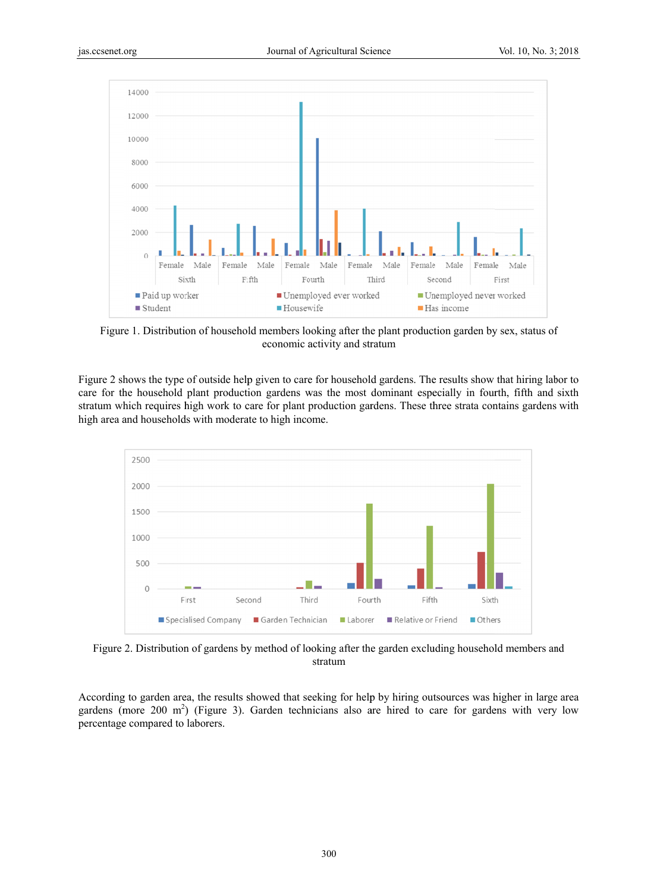

Figure 1. Distribution of household members looking after the plant production garden by sex, status of Figure 1. Distribution of household members looking after the plant production garden by sex, status of<br>economic activity and stratum<br>Figure 2 shows the type of outside help given to care for household gardens. The results economic activity and stratum

care for the household plant production gardens was the most dominant especially in fourth, fifth and sixth stratum which requires high work to care for plant production gardens. These three strata contains gardens with high area and households with moderate to high income.



Figure 2. Distribution of gardens by method of looking after the garden excluding household members and stratum

According to garden area, the results showed that seeking for help by hiring outsources was higher in large area gardens (more 200 m<sup>2</sup>) (Figure 3). Garden technicians also are hired to care for gardens with very low percentage e compared to laborers.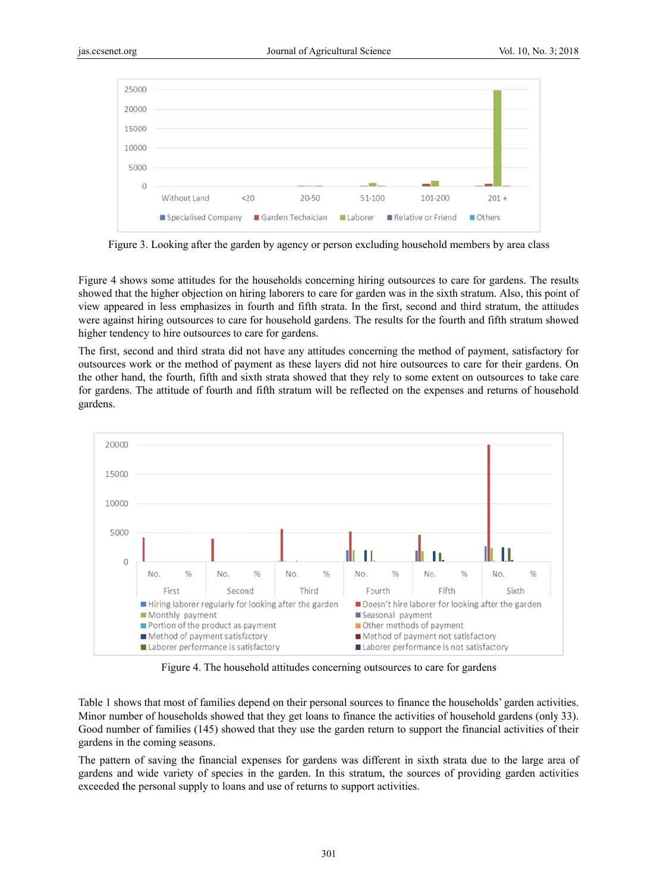

Figure 3. Looking after the garden by agency or person excluding household members by area class

Figure 4 shows some attitudes for the households concerning hiring outsources to care for gardens. The results showed that the higher objection on hiring laborers to care for garden was in the sixth stratum. Also, this point of view appeared in less emphasizes in fourth and fifth strata. In the first, second and third stratum, the attitudes were against hiring outsources to care for household gardens. The results for the fourth and fifth stratum showed higher tendency to hire outsources to care for gardens.

The first, second and third strata did not have any attitudes concerning the method of payment, satisfactory for outsources work or the method of payment as these layers did not hire outsources to care for their gardens. On the other hand, the fourth, fifth and sixth strata showed that they rely to some extent on outsources to take care for gardens. The attitude of fourth and fifth stratum will be reflected on the expenses and returns of household gardens.



Figure 4. The household attitudes concerning outsources to care for gardens

Figure 4. The household attitudes concerning outsources to care for gardens<br>Table 1 shows that most of families depend on their personal sources to finance the households' garden activities. Minor number of households showed that they get loans to finance the activities of household gardens (only 33). Good number of families (145) showed that they use the garden return to support the financial activities of their gardens in the coming seasons.

The pattern of saving the financial expenses for gardens was different in sixth strata due to the large area of gardens and wide variety of species in the garden. In this stratum, the sources of providing garden activities exceeded the personal supply to loans and use of returns to support activities.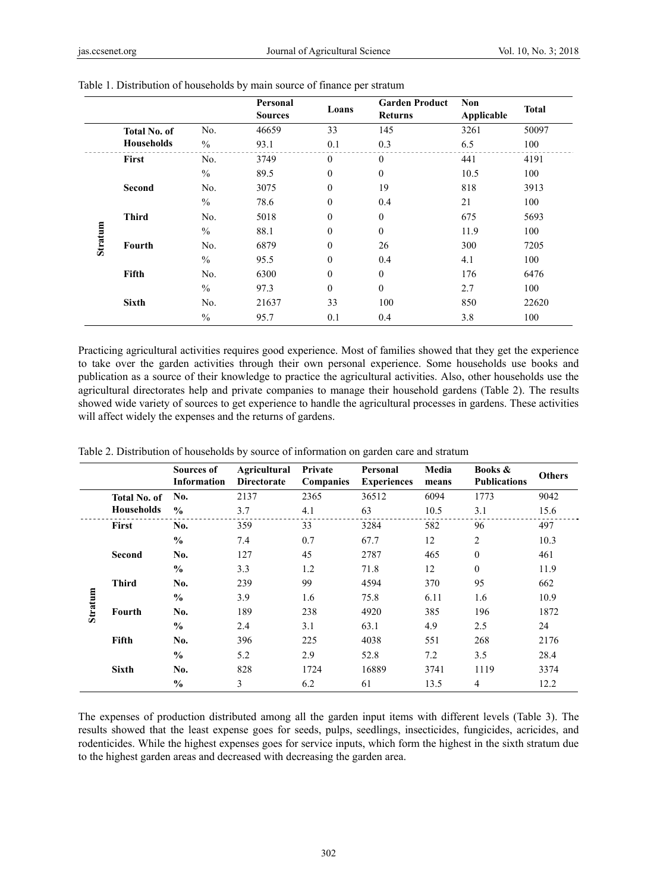|         |                     |               | Personal<br><b>Sources</b> | Loans        | <b>Garden Product</b><br><b>Returns</b> | <b>Non</b><br>Applicable | <b>Total</b> |
|---------|---------------------|---------------|----------------------------|--------------|-----------------------------------------|--------------------------|--------------|
|         | <b>Total No. of</b> | No.           | 46659                      | 33           | 145                                     | 3261                     | 50097        |
|         | <b>Households</b>   | $\frac{0}{0}$ | 93.1                       | 0.1          | 0.3                                     | 6.5                      | 100          |
|         | First               | No.           | 3749                       | $\theta$     | $\theta$                                | 441                      | 4191         |
|         |                     | $\frac{0}{0}$ | 89.5                       | $\mathbf{0}$ | $\theta$                                | 10.5                     | 100          |
|         | <b>Second</b>       | No.           | 3075                       | $\theta$     | 19                                      | 818                      | 3913         |
|         |                     | $\frac{0}{0}$ | 78.6                       | $\theta$     | 0.4                                     | 21                       | 100          |
|         | <b>Third</b>        | No.           | 5018                       | $\mathbf{0}$ | $\theta$                                | 675                      | 5693         |
| Stratum |                     | $\frac{0}{0}$ | 88.1                       | $\mathbf{0}$ | $\theta$                                | 11.9                     | 100          |
|         | Fourth              | No.           | 6879                       | $\theta$     | 26                                      | 300                      | 7205         |
|         |                     | $\frac{0}{0}$ | 95.5                       | $\theta$     | 0.4                                     | 4.1                      | 100          |
|         | Fifth               | No.           | 6300                       | $\theta$     | $\theta$                                | 176                      | 6476         |
|         |                     | $\frac{0}{0}$ | 97.3                       | $\theta$     | $\theta$                                | 2.7                      | 100          |
|         | <b>Sixth</b>        | No.           | 21637                      | 33           | 100                                     | 850                      | 22620        |
|         |                     | $\frac{0}{0}$ | 95.7                       | 0.1          | 0.4                                     | 3.8                      | 100          |

Table 1. Distribution of households by main source of finance per stratum

Practicing agricultural activities requires good experience. Most of families showed that they get the experience to take over the garden activities through their own personal experience. Some households use books and publication as a source of their knowledge to practice the agricultural activities. Also, other households use the agricultural directorates help and private companies to manage their household gardens (Table 2). The results showed wide variety of sources to get experience to handle the agricultural processes in gardens. These activities will affect widely the expenses and the returns of gardens.

|         |                     | Sources of<br><b>Information</b> | Agricultural<br><b>Directorate</b> | Private<br><b>Companies</b> | Personal<br><b>Experiences</b> | Media<br>means | Books &<br><b>Publications</b> | <b>Others</b> |
|---------|---------------------|----------------------------------|------------------------------------|-----------------------------|--------------------------------|----------------|--------------------------------|---------------|
|         | <b>Total No. of</b> | No.                              | 2137                               | 2365                        | 36512                          | 6094           | 1773                           | 9042          |
|         | <b>Households</b>   | $\frac{0}{0}$                    | 3.7                                | 4.1                         | 63                             | 10.5           | 3.1                            | 15.6          |
|         | <b>First</b>        | No.                              | 359                                | 33                          | 3284                           | 582            | 96                             | 497           |
|         |                     | $\frac{6}{6}$                    | 7.4                                | 0.7                         | 67.7                           | 12             | $\overline{2}$                 | 10.3          |
|         | <b>Second</b>       | No.                              | 127                                | 45                          | 2787                           | 465            | $\theta$                       | 461           |
|         |                     | $\frac{0}{0}$                    | 3.3                                | 1.2                         | 71.8                           | 12             | $\theta$                       | 11.9          |
|         | <b>Third</b>        | No.                              | 239                                | 99                          | 4594                           | 370            | 95                             | 662           |
| Stratum |                     | $\frac{0}{0}$                    | 3.9                                | 1.6                         | 75.8                           | 6.11           | 1.6                            | 10.9          |
|         | Fourth              | No.                              | 189                                | 238                         | 4920                           | 385            | 196                            | 1872          |
|         |                     | $\frac{6}{6}$                    | 2.4                                | 3.1                         | 63.1                           | 4.9            | 2.5                            | 24            |
|         | Fifth               | No.                              | 396                                | 225                         | 4038                           | 551            | 268                            | 2176          |
|         |                     | $\frac{0}{0}$                    | 5.2                                | 2.9                         | 52.8                           | 7.2            | 3.5                            | 28.4          |
|         | <b>Sixth</b>        | No.                              | 828                                | 1724                        | 16889                          | 3741           | 1119                           | 3374          |
|         |                     | $\frac{0}{0}$                    | 3                                  | 6.2                         | 61                             | 13.5           | $\overline{4}$                 | 12.2          |

Table 2. Distribution of households by source of information on garden care and stratum

The expenses of production distributed among all the garden input items with different levels (Table 3). The results showed that the least expense goes for seeds, pulps, seedlings, insecticides, fungicides, acricides, and rodenticides. While the highest expenses goes for service inputs, which form the highest in the sixth stratum due to the highest garden areas and decreased with decreasing the garden area.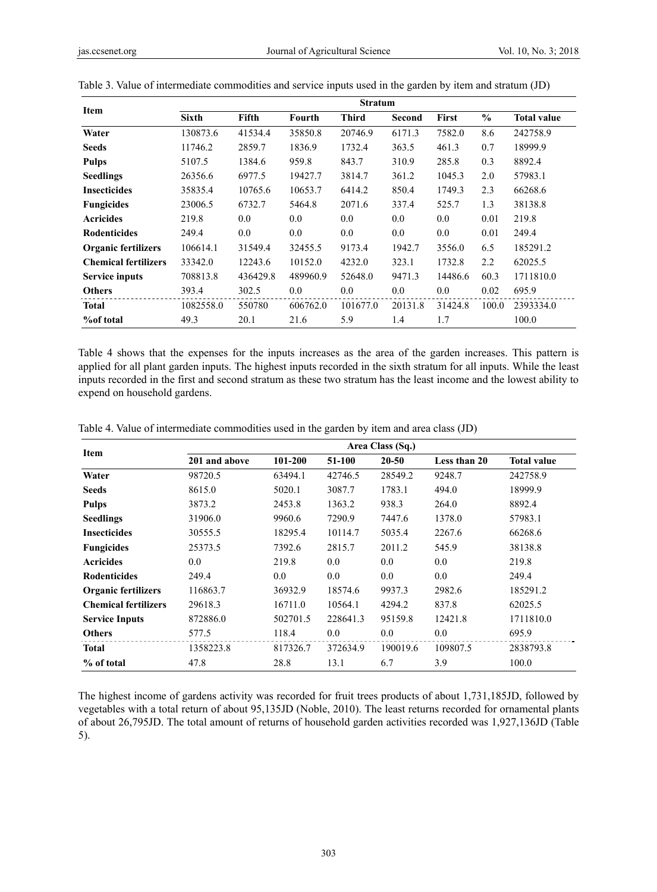| <b>Item</b>                 | <b>Stratum</b> |          |          |              |         |              |               |                    |
|-----------------------------|----------------|----------|----------|--------------|---------|--------------|---------------|--------------------|
|                             | <b>Sixth</b>   | Fifth    | Fourth   | <b>Third</b> | Second  | <b>First</b> | $\frac{6}{6}$ | <b>Total value</b> |
| Water                       | 130873.6       | 41534.4  | 35850.8  | 20746.9      | 6171.3  | 7582.0       | 8.6           | 242758.9           |
| <b>Seeds</b>                | 11746.2        | 2859.7   | 1836.9   | 1732.4       | 363.5   | 461.3        | 0.7           | 18999.9            |
| <b>Pulps</b>                | 5107.5         | 1384.6   | 959.8    | 843.7        | 310.9   | 285.8        | 0.3           | 8892.4             |
| <b>Seedlings</b>            | 26356.6        | 6977.5   | 19427.7  | 3814.7       | 361.2   | 1045.3       | 2.0           | 57983.1            |
| <b>Insecticides</b>         | 35835.4        | 10765.6  | 10653.7  | 6414.2       | 850.4   | 1749.3       | 2.3           | 66268.6            |
| <b>Fungicides</b>           | 23006.5        | 6732.7   | 5464.8   | 2071.6       | 337.4   | 525.7        | 1.3           | 38138.8            |
| <b>Acricides</b>            | 219.8          | 0.0      | 0.0      | $0.0\,$      | 0.0     | 0.0          | 0.01          | 219.8              |
| <b>Rodenticides</b>         | 249.4          | 0.0      | 0.0      | $0.0\,$      | 0.0     | 0.0          | 0.01          | 249.4              |
| <b>Organic fertilizers</b>  | 106614.1       | 31549.4  | 32455.5  | 9173.4       | 1942.7  | 3556.0       | 6.5           | 185291.2           |
| <b>Chemical fertilizers</b> | 33342.0        | 12243.6  | 10152.0  | 4232.0       | 323.1   | 1732.8       | 2.2           | 62025.5            |
| <b>Service inputs</b>       | 708813.8       | 436429.8 | 489960.9 | 52648.0      | 9471.3  | 14486.6      | 60.3          | 1711810.0          |
| <b>Others</b>               | 393.4          | 302.5    | 0.0      | 0.0          | 0.0     | 0.0          | 0.02          | 695.9              |
| <b>Total</b>                | 1082558.0      | 550780   | 606762.0 | 101677.0     | 20131.8 | 31424.8      | 100.0         | 2393334.0          |
| <b>%of total</b>            | 49.3           | 20.1     | 21.6     | 5.9          | 1.4     | 1.7          |               | 100.0              |

| Table 3. Value of intermediate commodities and service inputs used in the garden by item and stratum (JD) |  |  |  |  |
|-----------------------------------------------------------------------------------------------------------|--|--|--|--|
|                                                                                                           |  |  |  |  |

Table 4 shows that the expenses for the inputs increases as the area of the garden increases. This pattern is applied for all plant garden inputs. The highest inputs recorded in the sixth stratum for all inputs. While the least inputs recorded in the first and second stratum as these two stratum has the least income and the lowest ability to expend on household gardens.

| <b>Item</b>                 | Area Class (Sq.) |          |          |          |              |                    |  |  |  |  |
|-----------------------------|------------------|----------|----------|----------|--------------|--------------------|--|--|--|--|
|                             | 201 and above    | 101-200  | 51-100   | 20-50    | Less than 20 | <b>Total value</b> |  |  |  |  |
| Water                       | 98720.5          | 63494.1  | 42746.5  | 28549.2  | 9248.7       | 242758.9           |  |  |  |  |
| <b>Seeds</b>                | 8615.0           | 5020.1   | 3087.7   | 1783.1   | 494.0        | 18999.9            |  |  |  |  |
| <b>Pulps</b>                | 3873.2           | 2453.8   | 1363.2   | 938.3    | 264.0        | 8892.4             |  |  |  |  |
| <b>Seedlings</b>            | 31906.0          | 9960.6   | 7290.9   | 7447.6   | 1378.0       | 57983.1            |  |  |  |  |
| <b>Insecticides</b>         | 30555.5          | 18295.4  | 10114.7  | 5035.4   | 2267.6       | 66268.6            |  |  |  |  |
| <b>Fungicides</b>           | 25373.5          | 7392.6   | 2815.7   | 2011.2   | 545.9        | 38138.8            |  |  |  |  |
| <b>Acricides</b>            | 0.0              | 219.8    | 0.0      | 0.0      | 0.0          | 219.8              |  |  |  |  |
| <b>Rodenticides</b>         | 249.4            | 0.0      | 0.0      | 0.0      | 0.0          | 249.4              |  |  |  |  |
| <b>Organic fertilizers</b>  | 116863.7         | 36932.9  | 18574.6  | 9937.3   | 2982.6       | 185291.2           |  |  |  |  |
| <b>Chemical fertilizers</b> | 29618.3          | 16711.0  | 10564.1  | 4294.2   | 837.8        | 62025.5            |  |  |  |  |
| <b>Service Inputs</b>       | 872886.0         | 502701.5 | 228641.3 | 95159.8  | 12421.8      | 1711810.0          |  |  |  |  |
| <b>Others</b>               | 577.5            | 118.4    | 0.0      | 0.0      | $0.0\,$      | 695.9              |  |  |  |  |
| <b>Total</b>                | 1358223.8        | 817326.7 | 372634.9 | 190019.6 | 109807.5     | 2838793.8          |  |  |  |  |
| % of total                  | 47.8             | 28.8     | 13.1     | 6.7      | 3.9          | 100.0              |  |  |  |  |

Table 4. Value of intermediate commodities used in the garden by item and area class (JD)

The highest income of gardens activity was recorded for fruit trees products of about 1,731,185JD, followed by vegetables with a total return of about 95,135JD (Noble, 2010). The least returns recorded for ornamental plants of about 26,795JD. The total amount of returns of household garden activities recorded was 1,927,136JD (Table 5).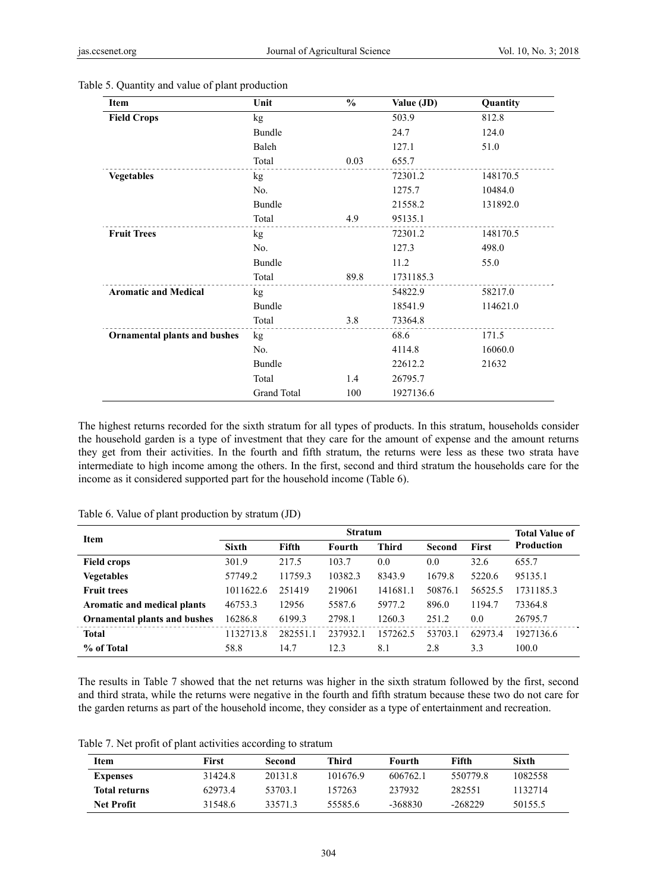| Item                                | Unit        | $\frac{0}{0}$ | Value (JD) | Quantity |
|-------------------------------------|-------------|---------------|------------|----------|
| <b>Field Crops</b>                  | kg          |               | 503.9      | 812.8    |
|                                     | Bundle      |               | 24.7       | 124.0    |
|                                     | Baleh       |               | 127.1      | 51.0     |
|                                     | Total       | 0.03          | 655.7      |          |
| <b>Vegetables</b>                   | kg          |               | 72301.2    | 148170.5 |
|                                     | No.         |               | 1275.7     | 10484.0  |
|                                     | Bundle      |               | 21558.2    | 131892.0 |
|                                     | Total       | 4.9           | 95135.1    |          |
| <b>Fruit Trees</b>                  | kg          |               | 72301.2    | 148170.5 |
|                                     | No.         |               | 127.3      | 498.0    |
|                                     | Bundle      |               | 11.2       | 55.0     |
|                                     | Total       | 89.8          | 1731185.3  |          |
| <b>Aromatic and Medical</b>         | kg          |               | 54822.9    | 58217.0  |
|                                     | Bundle      |               | 18541.9    | 114621.0 |
|                                     | Total       | 3.8           | 73364.8    |          |
| <b>Ornamental plants and bushes</b> | kg          |               | 68.6       | 171.5    |
|                                     | No.         |               | 4114.8     | 16060.0  |
|                                     | Bundle      |               | 22612.2    | 21632    |
|                                     | Total       | 1.4           | 26795.7    |          |
|                                     | Grand Total | 100           | 1927136.6  |          |

Table 5. Quantity and value of plant production

The highest returns recorded for the sixth stratum for all types of products. In this stratum, households consider the household garden is a type of investment that they care for the amount of expense and the amount returns they get from their activities. In the fourth and fifth stratum, the returns were less as these two strata have intermediate to high income among the others. In the first, second and third stratum the households care for the income as it considered supported part for the household income (Table 6).

| <b>Item</b>                         | <b>Stratum</b> |          |          |              |         |              | <b>Total Value of</b> |
|-------------------------------------|----------------|----------|----------|--------------|---------|--------------|-----------------------|
|                                     | <b>Sixth</b>   | Fifth    | Fourth   | <b>Third</b> | Second  | <b>First</b> | Production            |
| <b>Field crops</b>                  | 301.9          | 217.5    | 103.7    | 0.0          | 0.0     | 32.6         | 655.7                 |
| <b>Vegetables</b>                   | 57749.2        | 11759.3  | 10382.3  | 8343.9       | 1679.8  | 5220.6       | 95135.1               |
| <b>Fruit trees</b>                  | 1011622.6      | 251419   | 219061   | 141681.1     | 50876.1 | 56525.5      | 1731185.3             |
| Aromatic and medical plants         | 46753.3        | 12956    | 5587.6   | 5977.2       | 896.0   | 1194.7       | 73364.8               |
| <b>Ornamental plants and bushes</b> | 16286.8        | 6199.3   | 2798.1   | 1260.3       | 251.2   | 0.0          | 26795.7               |
| Total                               | 1132713.8      | 282551.1 | 237932.1 | 157262.5     | 53703.1 | 62973.4      | 1927136.6             |
| % of Total                          | 58.8           | 14.7     | 12.3     | 8.1          | 2.8     | 3.3          | 100.0                 |

Table 6. Value of plant production by stratum (JD)

The results in Table 7 showed that the net returns was higher in the sixth stratum followed by the first, second and third strata, while the returns were negative in the fourth and fifth stratum because these two do not care for the garden returns as part of the household income, they consider as a type of entertainment and recreation.

Table 7. Net profit of plant activities according to stratum

| Item                 | First   | Second  | Third    | Fourth   | Fifth     | Sixth   |
|----------------------|---------|---------|----------|----------|-----------|---------|
| <b>Expenses</b>      | 314248  | 20131.8 | 101676.9 | 606762.1 | 5507798   | 1082558 |
| <b>Total returns</b> | 629734  | 53703.1 | 157263   | 237932   | 282551    | 1132714 |
| <b>Net Profit</b>    | 31548.6 | 335713  | 55585.6  | -368830  | $-268229$ | 50155.5 |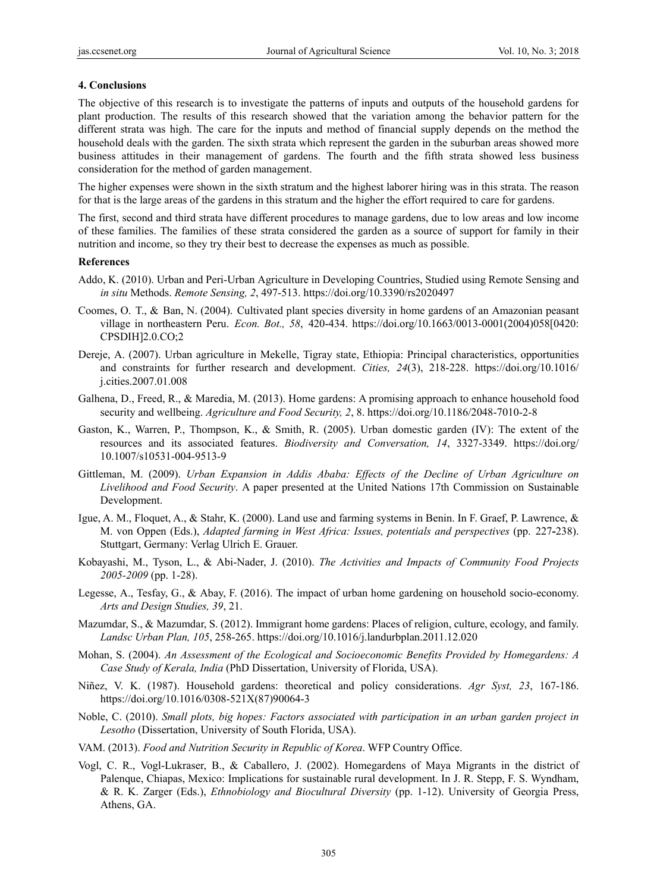#### **4. Conclusions**

The objective of this research is to investigate the patterns of inputs and outputs of the household gardens for plant production. The results of this research showed that the variation among the behavior pattern for the different strata was high. The care for the inputs and method of financial supply depends on the method the household deals with the garden. The sixth strata which represent the garden in the suburban areas showed more business attitudes in their management of gardens. The fourth and the fifth strata showed less business consideration for the method of garden management.

The higher expenses were shown in the sixth stratum and the highest laborer hiring was in this strata. The reason for that is the large areas of the gardens in this stratum and the higher the effort required to care for gardens.

The first, second and third strata have different procedures to manage gardens, due to low areas and low income of these families. The families of these strata considered the garden as a source of support for family in their nutrition and income, so they try their best to decrease the expenses as much as possible.

#### **References**

- Addo, K. (2010). Urban and Peri-Urban Agriculture in Developing Countries, Studied using Remote Sensing and *in situ* Methods. *Remote Sensing, 2*, 497-513. https://doi.org/10.3390/rs2020497
- Coomes, O. T., & Ban, N. (2004). Cultivated plant species diversity in home gardens of an Amazonian peasant village in northeastern Peru. *Econ. Bot., 58*, 420-434. https://doi.org/10.1663/0013-0001(2004)058[0420: CPSDIH]2.0.CO;2
- Dereje, A. (2007). Urban agriculture in Mekelle, Tigray state, Ethiopia: Principal characteristics, opportunities and constraints for further research and development. *Cities, 24*(3), 218-228. https://doi.org/10.1016/ j.cities.2007.01.008
- Galhena, D., Freed, R., & Maredia, M. (2013). Home gardens: A promising approach to enhance household food security and wellbeing. *Agriculture and Food Security, 2*, 8. https://doi.org/10.1186/2048-7010-2-8
- Gaston, K., Warren, P., Thompson, K., & Smith, R. (2005). Urban domestic garden (IV): The extent of the resources and its associated features. *Biodiversity and Conversation, 14*, 3327-3349. https://doi.org/ 10.1007/s10531-004-9513-9
- Gittleman, M. (2009). *Urban Expansion in Addis Ababa: Effects of the Decline of Urban Agriculture on Livelihood and Food Security*. A paper presented at the United Nations 17th Commission on Sustainable Development.
- Igue, A. M., Floquet, A., & Stahr, K. (2000). Land use and farming systems in Benin. In F. Graef, P. Lawrence, & M. von Oppen (Eds.), *Adapted farming in West Africa: Issues, potentials and perspectives* (pp. 227**-**238). Stuttgart, Germany: Verlag Ulrich E. Grauer.
- Kobayashi, M., Tyson, L., & Abi-Nader, J. (2010). *The Activities and Impacts of Community Food Projects 2005-2009* (pp. 1-28).
- Legesse, A., Tesfay, G., & Abay, F. (2016). The impact of urban home gardening on household socio-economy. *Arts and Design Studies, 39*, 21.
- Mazumdar, S., & Mazumdar, S. (2012). Immigrant home gardens: Places of religion, culture, ecology, and family. *Landsc Urban Plan, 105*, 258-265. https://doi.org/10.1016/j.landurbplan.2011.12.020
- Mohan, S. (2004). *An Assessment of the Ecological and Socioeconomic Benefits Provided by Homegardens: A Case Study of Kerala, India* (PhD Dissertation, University of Florida, USA).
- Niñez, V. K. (1987). Household gardens: theoretical and policy considerations. *Agr Syst, 23*, 167-186. https://doi.org/10.1016/0308-521X(87)90064-3
- Noble, C. (2010). *Small plots, big hopes: Factors associated with participation in an urban garden project in Lesotho* (Dissertation, University of South Florida, USA).
- VAM. (2013). *Food and Nutrition Security in Republic of Korea*. WFP Country Office.
- Vogl, C. R., Vogl-Lukraser, B., & Caballero, J. (2002). Homegardens of Maya Migrants in the district of Palenque, Chiapas, Mexico: Implications for sustainable rural development. In J. R. Stepp, F. S. Wyndham, & R. K. Zarger (Eds.), *Ethnobiology and Biocultural Diversity* (pp. 1-12). University of Georgia Press, Athens, GA.